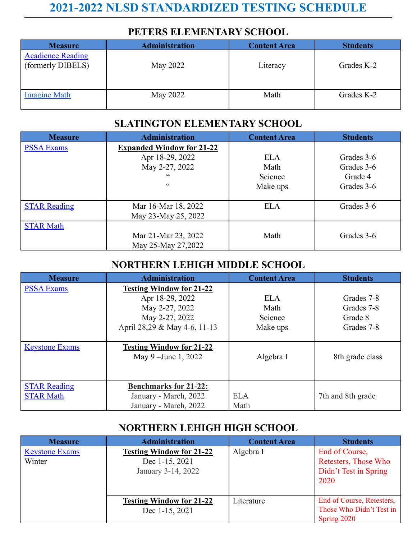# **2021-2022 NLSD STANDARDIZED TESTING SCHEDULE**

### **PETERS ELEMENTARY SCHOOL**

| <b>Measure</b>                                | <b>Administration</b> | <b>Content Area</b> | <b>Students</b> |
|-----------------------------------------------|-----------------------|---------------------|-----------------|
| <b>Acadience Reading</b><br>(formerly DIBELS) | May 2022              | Literacy            | Grades K-2      |
| <b>Imagine Math</b>                           | May 2022              | Math                | Grades K-2      |

#### **SLATINGTON ELEMENTARY SCHOOL**

| <b>Measure</b>      | <b>Administration</b>            | <b>Content Area</b> | <b>Students</b> |
|---------------------|----------------------------------|---------------------|-----------------|
| <b>PSSA Exams</b>   | <b>Expanded Window for 21-22</b> |                     |                 |
|                     | Apr 18-29, 2022                  | <b>ELA</b>          | Grades 3-6      |
|                     | May 2-27, 2022                   | Math                | Grades 3-6      |
|                     | $\epsilon$                       | Science             | Grade 4         |
|                     | cc                               | Make ups            | Grades 3-6      |
|                     |                                  |                     |                 |
| <b>STAR Reading</b> | Mar 16-Mar 18, 2022              | <b>ELA</b>          | Grades 3-6      |
|                     | May 23-May 25, 2022              |                     |                 |
| <b>STAR Math</b>    |                                  |                     |                 |
|                     | Mar 21-Mar 23, 2022              | Math                | Grades 3-6      |
|                     | May 25-May 27,2022               |                     |                 |

## **NORTHERN LEHIGH MIDDLE SCHOOL**

| <b>Measure</b>                          | <b>Administration</b>                                                          | <b>Content Area</b> | <b>Students</b>   |
|-----------------------------------------|--------------------------------------------------------------------------------|---------------------|-------------------|
| <b>PSSA Exams</b>                       | <b>Testing Window for 21-22</b>                                                |                     |                   |
|                                         | Apr 18-29, 2022                                                                | <b>ELA</b>          | Grades 7-8        |
|                                         | May 2-27, 2022                                                                 | Math                | Grades 7-8        |
|                                         | May 2-27, 2022                                                                 | Science             | Grade 8           |
|                                         | April 28,29 & May 4-6, 11-13                                                   | Make ups            | Grades 7-8        |
|                                         |                                                                                |                     |                   |
| <b>Keystone Exams</b>                   | <b>Testing Window for 21-22</b><br>May 9 – June 1, 2022                        | Algebra I           | 8th grade class   |
| <b>STAR Reading</b><br><b>STAR Math</b> | <b>Benchmarks for 21-22:</b><br>January - March, 2022<br>January - March, 2022 | <b>ELA</b><br>Math  | 7th and 8th grade |

### **NORTHERN LEHIGH HIGH SCHOOL**

| <b>Measure</b>                  | <b>Administration</b>                                                   | <b>Content Area</b> | <b>Students</b>                                                         |
|---------------------------------|-------------------------------------------------------------------------|---------------------|-------------------------------------------------------------------------|
| <b>Keystone Exams</b><br>Winter | <b>Testing Window for 21-22</b><br>Dec 1-15, 2021<br>January 3-14, 2022 | Algebra I           | End of Course,<br>Retesters, Those Who<br>Didn't Test in Spring<br>2020 |
|                                 | <b>Testing Window for 21-22</b><br>Dec 1-15, 2021                       | Literature          | End of Course, Retesters,<br>Those Who Didn't Test in<br>Spring 2020    |